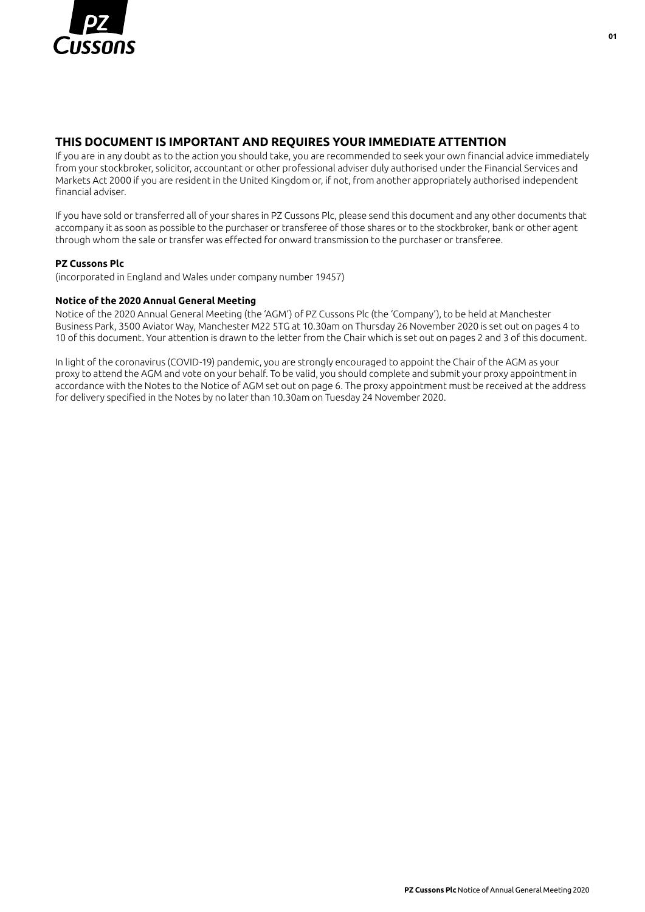

## **THIS DOCUMENT IS IMPORTANT AND REQUIRES YOUR IMMEDIATE ATTENTION**

If you are in any doubt as to the action you should take, you are recommended to seek your own financial advice immediately from your stockbroker, solicitor, accountant or other professional adviser duly authorised under the Financial Services and Markets Act 2000 if you are resident in the United Kingdom or, if not, from another appropriately authorised independent financial adviser.

If you have sold or transferred all of your shares in PZ Cussons Plc, please send this document and any other documents that accompany it as soon as possible to the purchaser or transferee of those shares or to the stockbroker, bank or other agent through whom the sale or transfer was effected for onward transmission to the purchaser or transferee.

#### **PZ Cussons Plc**

(incorporated in England and Wales under company number 19457)

#### **Notice of the 2020 Annual General Meeting**

Notice of the 2020 Annual General Meeting (the 'AGM') of PZ Cussons Plc (the 'Company'), to be held at Manchester Business Park, 3500 Aviator Way, Manchester M22 5TG at 10.30am on Thursday 26 November 2020 is set out on pages 4 to 10 of this document. Your attention is drawn to the letter from the Chair which is set out on pages 2 and 3 of this document.

In light of the coronavirus (COVID-19) pandemic, you are strongly encouraged to appoint the Chair of the AGM as your proxy to attend the AGM and vote on your behalf. To be valid, you should complete and submit your proxy appointment in accordance with the Notes to the Notice of AGM set out on page 6. The proxy appointment must be received at the address for delivery specified in the Notes by no later than 10.30am on Tuesday 24 November 2020.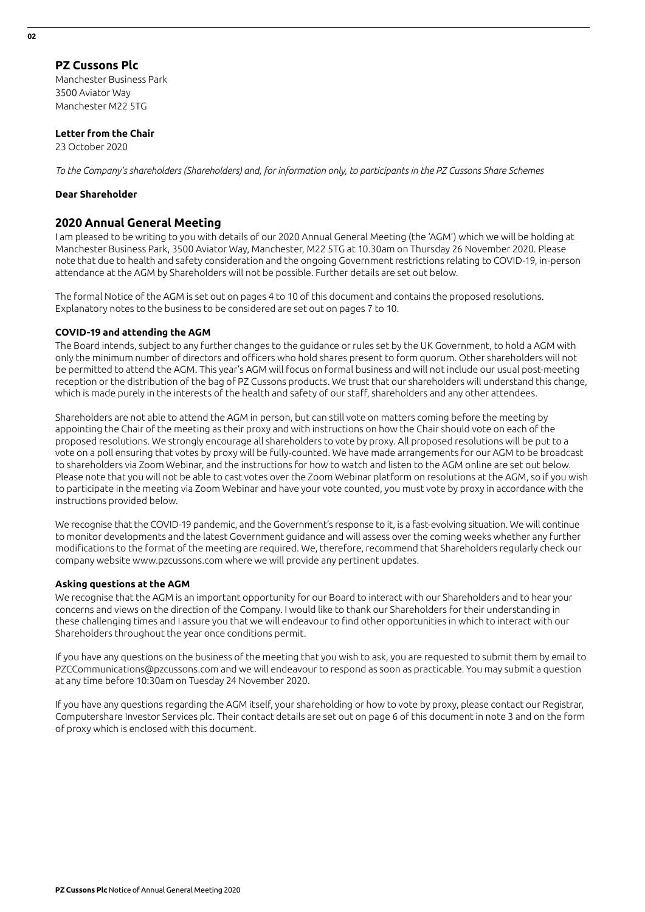#### **PZ Cussons Plc** Manchester Business Park

3500 Aviator Way Manchester M22 5TG

#### **Letter from the Chair**

23 October 2020

*To the Company's shareholders (Shareholders) and, for information only, to participants in the PZ Cussons Share Schemes*

#### **Dear Shareholder**

#### **2020 Annual General Meeting**

I am pleased to be writing to you with details of our 2020 Annual General Meeting (the 'AGM') which we will be holding at Manchester Business Park, 3500 Aviator Way, Manchester, M22 5TG at 10.30am on Thursday 26 November 2020. Please note that due to health and safety consideration and the ongoing Government restrictions relating to COVID-19, in-person attendance at the AGM by Shareholders will not be possible. Further details are set out below.

The formal Notice of the AGM is set out on pages 4 to 10 of this document and contains the proposed resolutions. Explanatory notes to the business to be considered are set out on pages 7 to 10.

#### **COVID-19 and attending the AGM**

The Board intends, subject to any further changes to the guidance or rules set by the UK Government, to hold a AGM with only the minimum number of directors and officers who hold shares present to form quorum. Other shareholders will not be permitted to attend the AGM. This year's AGM will focus on formal business and will not include our usual post-meeting reception or the distribution of the bag of PZ Cussons products. We trust that our shareholders will understand this change, which is made purely in the interests of the health and safety of our staff, shareholders and any other attendees.

Shareholders are not able to attend the AGM in person, but can still vote on matters coming before the meeting by appointing the Chair of the meeting as their proxy and with instructions on how the Chair should vote on each of the proposed resolutions. We strongly encourage all shareholders to vote by proxy. All proposed resolutions will be put to a vote on a poll ensuring that votes by proxy will be fully-counted. We have made arrangements for our AGM to be broadcast to shareholders via Zoom Webinar, and the instructions for how to watch and listen to the AGM online are set out below. Please note that you will not be able to cast votes over the Zoom Webinar platform on resolutions at the AGM, so if you wish to participate in the meeting via Zoom Webinar and have your vote counted, you must vote by proxy in accordance with the instructions provided below.

We recognise that the COVID-19 pandemic, and the Government's response to it, is a fast-evolving situation. We will continue to monitor developments and the latest Government guidance and will assess over the coming weeks whether any further modifications to the format of the meeting are required. We, therefore, recommend that Shareholders regularly check our company website www.pzcussons.com where we will provide any pertinent updates.

#### **Asking questions at the AGM**

We recognise that the AGM is an important opportunity for our Board to interact with our Shareholders and to hear your concerns and views on the direction of the Company. I would like to thank our Shareholders for their understanding in these challenging times and I assure you that we will endeavour to find other opportunities in which to interact with our Shareholders throughout the year once conditions permit.

If you have any questions on the business of the meeting that you wish to ask, you are requested to submit them by email to PZCCommunications@pzcussons.com and we will endeavour to respond as soon as practicable. You may submit a question at any time before 10:30am on Tuesday 24 November 2020.

If you have any questions regarding the AGM itself, your shareholding or how to vote by proxy, please contact our Registrar, Computershare Investor Services plc. Their contact details are set out on page 6 of this document in note 3 and on the form of proxy which is enclosed with this document.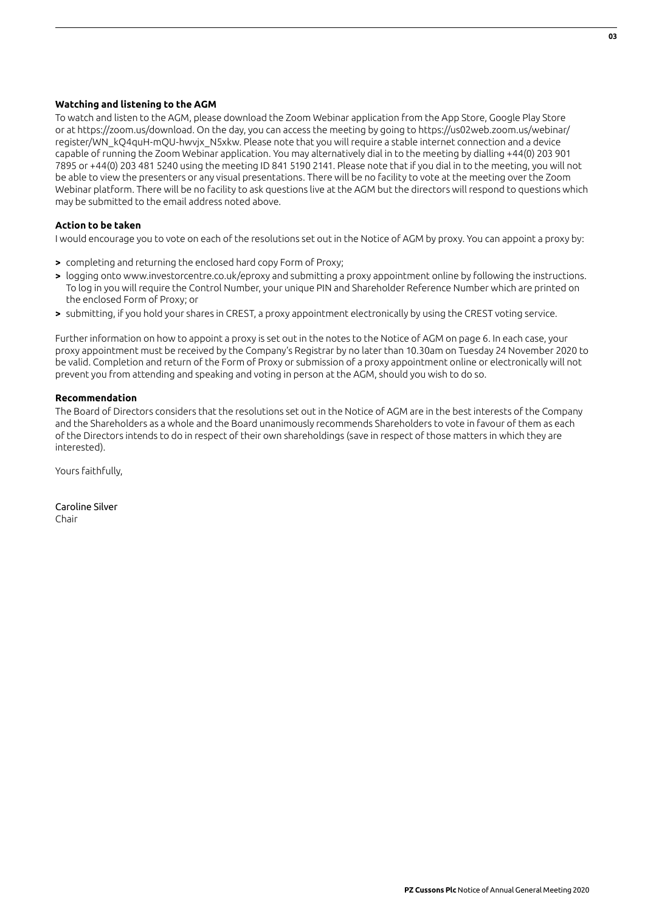#### **Watching and listening to the AGM**

To watch and listen to the AGM, please download the Zoom Webinar application from the App Store, Google Play Store or at https://zoom.us/download. On the day, you can access the meeting by going to https://us02web.zoom.us/webinar/ register/WN\_kQ4quH-mQU-hwvjx\_N5xkw. Please note that you will require a stable internet connection and a device capable of running the Zoom Webinar application. You may alternatively dial in to the meeting by dialling +44(0) 203 901 7895 or +44(0) 203 481 5240 using the meeting ID 841 5190 2141. Please note that if you dial in to the meeting, you will not be able to view the presenters or any visual presentations. There will be no facility to vote at the meeting over the Zoom Webinar platform. There will be no facility to ask questions live at the AGM but the directors will respond to questions which may be submitted to the email address noted above.

#### **Action to be taken**

I would encourage you to vote on each of the resolutions set out in the Notice of AGM by proxy. You can appoint a proxy by:

- **>** completing and returning the enclosed hard copy Form of Proxy;
- **>** logging onto www.investorcentre.co.uk/eproxy and submitting a proxy appointment online by following the instructions. To log in you will require the Control Number, your unique PIN and Shareholder Reference Number which are printed on the enclosed Form of Proxy; or
- **>** submitting, if you hold your shares in CREST, a proxy appointment electronically by using the CREST voting service.

Further information on how to appoint a proxy is set out in the notes to the Notice of AGM on page 6. In each case, your proxy appointment must be received by the Company's Registrar by no later than 10.30am on Tuesday 24 November 2020 to be valid. Completion and return of the Form of Proxy or submission of a proxy appointment online or electronically will not prevent you from attending and speaking and voting in person at the AGM, should you wish to do so.

#### **Recommendation**

The Board of Directors considers that the resolutions set out in the Notice of AGM are in the best interests of the Company and the Shareholders as a whole and the Board unanimously recommends Shareholders to vote in favour of them as each of the Directors intends to do in respect of their own shareholdings (save in respect of those matters in which they are interested).

Yours faithfully,

Caroline Silver Chair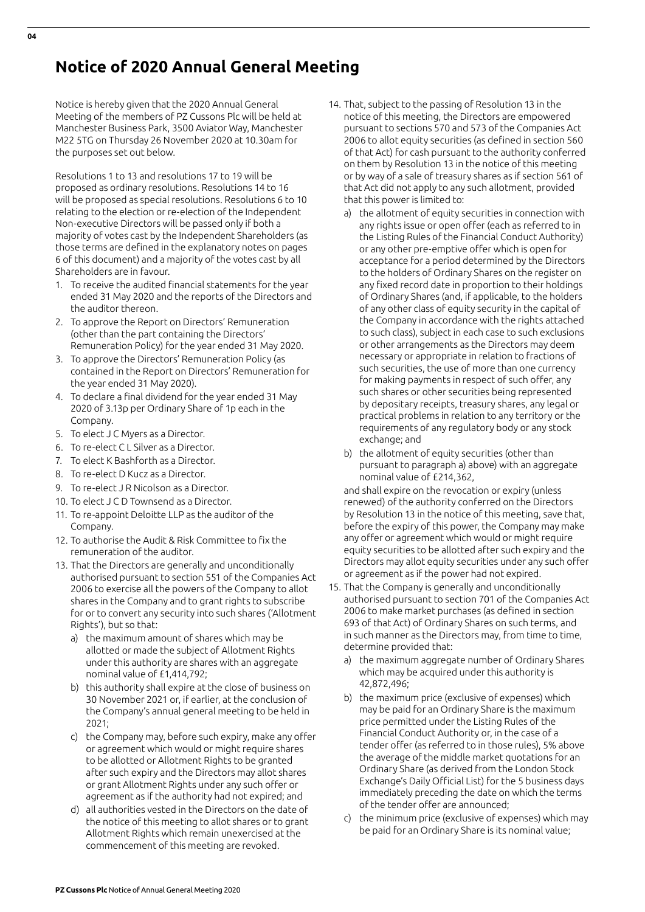# **Notice of 2020 Annual General Meeting**

Notice is hereby given that the 2020 Annual General Meeting of the members of PZ Cussons Plc will be held at Manchester Business Park, 3500 Aviator Way, Manchester M22 5TG on Thursday 26 November 2020 at 10.30am for the purposes set out below.

Resolutions 1 to 13 and resolutions 17 to 19 will be proposed as ordinary resolutions. Resolutions 14 to 16 will be proposed as special resolutions. Resolutions 6 to 10 relating to the election or re-election of the Independent Non-executive Directors will be passed only if both a majority of votes cast by the Independent Shareholders (as those terms are defined in the explanatory notes on pages 6 of this document) and a majority of the votes cast by all Shareholders are in favour.

- 1. To receive the audited financial statements for the year ended 31 May 2020 and the reports of the Directors and the auditor thereon.
- 2. To approve the Report on Directors' Remuneration (other than the part containing the Directors' Remuneration Policy) for the year ended 31 May 2020.
- 3. To approve the Directors' Remuneration Policy (as contained in the Report on Directors' Remuneration for the year ended 31 May 2020).
- 4. To declare a final dividend for the year ended 31 May 2020 of 3.13p per Ordinary Share of 1p each in the Company.
- 5. To elect J C Myers as a Director.
- 6. To re-elect C L Silver as a Director.
- 7. To elect K Bashforth as a Director.
- 8. To re-elect D Kucz as a Director.
- 9. To re-elect J R Nicolson as a Director.
- 10. To elect J C D Townsend as a Director.
- 11. To re-appoint Deloitte LLP as the auditor of the Company.
- 12. To authorise the Audit & Risk Committee to fix the remuneration of the auditor.
- 13. That the Directors are generally and unconditionally authorised pursuant to section 551 of the Companies Act 2006 to exercise all the powers of the Company to allot shares in the Company and to grant rights to subscribe for or to convert any security into such shares ('Allotment Rights'), but so that:
	- a) the maximum amount of shares which may be allotted or made the subject of Allotment Rights under this authority are shares with an aggregate nominal value of £1,414,792;
	- b) this authority shall expire at the close of business on 30 November 2021 or, if earlier, at the conclusion of the Company's annual general meeting to be held in 2021;
	- c) the Company may, before such expiry, make any offer or agreement which would or might require shares to be allotted or Allotment Rights to be granted after such expiry and the Directors may allot shares or grant Allotment Rights under any such offer or agreement as if the authority had not expired; and
	- d) all authorities vested in the Directors on the date of the notice of this meeting to allot shares or to grant Allotment Rights which remain unexercised at the commencement of this meeting are revoked.
- 14. That, subject to the passing of Resolution 13 in the notice of this meeting, the Directors are empowered pursuant to sections 570 and 573 of the Companies Act 2006 to allot equity securities (as defined in section 560 of that Act) for cash pursuant to the authority conferred on them by Resolution 13 in the notice of this meeting or by way of a sale of treasury shares as if section 561 of that Act did not apply to any such allotment, provided that this power is limited to:
	- a) the allotment of equity securities in connection with any rights issue or open offer (each as referred to in the Listing Rules of the Financial Conduct Authority) or any other pre-emptive offer which is open for acceptance for a period determined by the Directors to the holders of Ordinary Shares on the register on any fixed record date in proportion to their holdings of Ordinary Shares (and, if applicable, to the holders of any other class of equity security in the capital of the Company in accordance with the rights attached to such class), subject in each case to such exclusions or other arrangements as the Directors may deem necessary or appropriate in relation to fractions of such securities, the use of more than one currency for making payments in respect of such offer, any such shares or other securities being represented by depositary receipts, treasury shares, any legal or practical problems in relation to any territory or the requirements of any regulatory body or any stock exchange; and
	- b) the allotment of equity securities (other than pursuant to paragraph a) above) with an aggregate nominal value of £214,362,

 and shall expire on the revocation or expiry (unless renewed) of the authority conferred on the Directors by Resolution 13 in the notice of this meeting, save that, before the expiry of this power, the Company may make any offer or agreement which would or might require equity securities to be allotted after such expiry and the Directors may allot equity securities under any such offer or agreement as if the power had not expired.

- 15. That the Company is generally and unconditionally authorised pursuant to section 701 of the Companies Act 2006 to make market purchases (as defined in section 693 of that Act) of Ordinary Shares on such terms, and in such manner as the Directors may, from time to time, determine provided that:
	- a) the maximum aggregate number of Ordinary Shares which may be acquired under this authority is 42,872,496;
	- b) the maximum price (exclusive of expenses) which may be paid for an Ordinary Share is the maximum price permitted under the Listing Rules of the Financial Conduct Authority or, in the case of a tender offer (as referred to in those rules), 5% above the average of the middle market quotations for an Ordinary Share (as derived from the London Stock Exchange's Daily Official List) for the 5 business days immediately preceding the date on which the terms of the tender offer are announced;
	- c) the minimum price (exclusive of expenses) which may be paid for an Ordinary Share is its nominal value;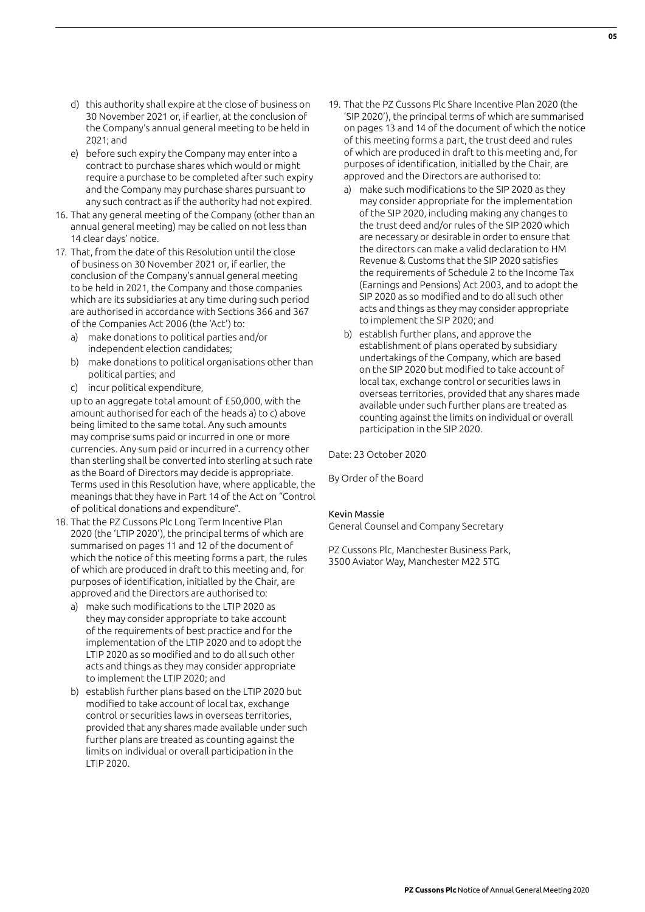- d) this authority shall expire at the close of business on 30 November 2021 or, if earlier, at the conclusion of the Company's annual general meeting to be held in 2021; and
- e) before such expiry the Company may enter into a contract to purchase shares which would or might require a purchase to be completed after such expiry and the Company may purchase shares pursuant to any such contract as if the authority had not expired.
- 16. That any general meeting of the Company (other than an annual general meeting) may be called on not less than 14 clear days' notice.
- 17. That, from the date of this Resolution until the close of business on 30 November 2021 or, if earlier, the conclusion of the Company's annual general meeting to be held in 2021, the Company and those companies which are its subsidiaries at any time during such period are authorised in accordance with Sections 366 and 367 of the Companies Act 2006 (the 'Act') to:
	- a) make donations to political parties and/or independent election candidates;
	- b) make donations to political organisations other than political parties; and
	- c) incur political expenditure,

 up to an aggregate total amount of £50,000, with the amount authorised for each of the heads a) to c) above being limited to the same total. Any such amounts may comprise sums paid or incurred in one or more currencies. Any sum paid or incurred in a currency other than sterling shall be converted into sterling at such rate as the Board of Directors may decide is appropriate. Terms used in this Resolution have, where applicable, the meanings that they have in Part 14 of the Act on "Control of political donations and expenditure".

- 18. That the PZ Cussons Plc Long Term Incentive Plan 2020 (the 'LTIP 2020'), the principal terms of which are summarised on pages 11 and 12 of the document of which the notice of this meeting forms a part, the rules of which are produced in draft to this meeting and, for purposes of identification, initialled by the Chair, are approved and the Directors are authorised to:
	- a) make such modifications to the LTIP 2020 as they may consider appropriate to take account of the requirements of best practice and for the implementation of the LTIP 2020 and to adopt the LTIP 2020 as so modified and to do all such other acts and things as they may consider appropriate to implement the LTIP 2020; and
	- b) establish further plans based on the LTIP 2020 but modified to take account of local tax, exchange control or securities laws in overseas territories, provided that any shares made available under such further plans are treated as counting against the limits on individual or overall participation in the LTIP 2020.
- 19. That the PZ Cussons Plc Share Incentive Plan 2020 (the 'SIP 2020'), the principal terms of which are summarised on pages 13 and 14 of the document of which the notice of this meeting forms a part, the trust deed and rules of which are produced in draft to this meeting and, for purposes of identification, initialled by the Chair, are approved and the Directors are authorised to:
	- a) make such modifications to the SIP 2020 as they may consider appropriate for the implementation of the SIP 2020, including making any changes to the trust deed and/or rules of the SIP 2020 which are necessary or desirable in order to ensure that the directors can make a valid declaration to HM Revenue & Customs that the SIP 2020 satisfies the requirements of Schedule 2 to the Income Tax (Earnings and Pensions) Act 2003, and to adopt the SIP 2020 as so modified and to do all such other acts and things as they may consider appropriate to implement the SIP 2020; and
	- b) establish further plans, and approve the establishment of plans operated by subsidiary undertakings of the Company, which are based on the SIP 2020 but modified to take account of local tax, exchange control or securities laws in overseas territories, provided that any shares made available under such further plans are treated as counting against the limits on individual or overall participation in the SIP 2020.

Date: 23 October 2020

By Order of the Board

#### Kevin Massie

General Counsel and Company Secretary

PZ Cussons Plc, Manchester Business Park, 3500 Aviator Way, Manchester M22 5TG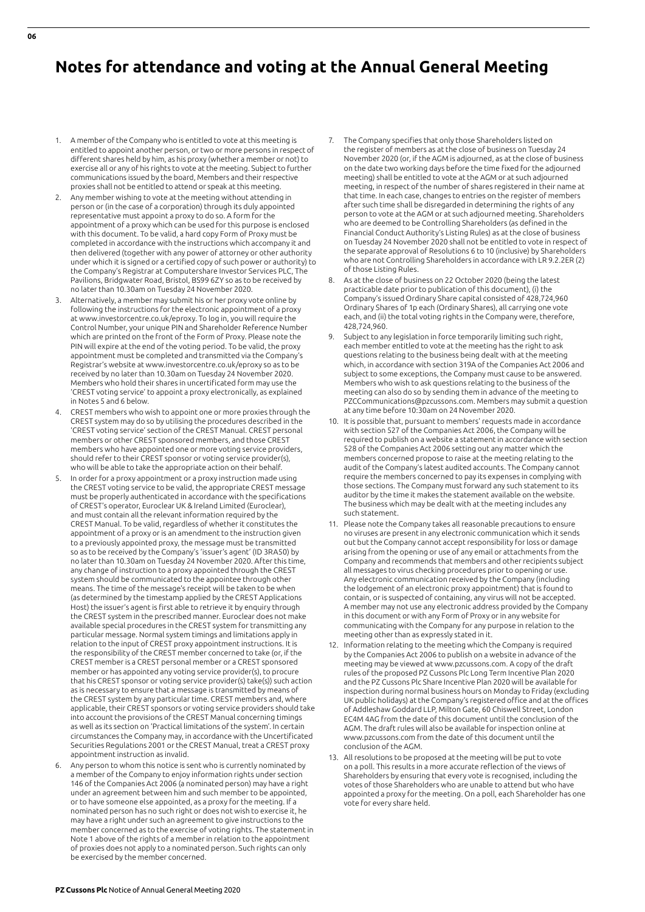# **Notes for attendance and voting at the Annual General Meeting**

- 1. A member of the Company who is entitled to vote at this meeting is entitled to appoint another person, or two or more persons in respect of different shares held by him, as his proxy (whether a member or not) to exercise all or any of his rights to vote at the meeting. Subject to further communications issued by the board, Members and their respective proxies shall not be entitled to attend or speak at this meeting.
- 2. Any member wishing to vote at the meeting without attending in person or (in the case of a corporation) through its duly appointed representative must appoint a proxy to do so. A form for the appointment of a proxy which can be used for this purpose is enclosed with this document. To be valid, a hard copy Form of Proxy must be completed in accordance with the instructions which accompany it and then delivered (together with any power of attorney or other authority under which it is signed or a certified copy of such power or authority) to the Company's Registrar at Computershare Investor Services PLC, The Pavilions, Bridgwater Road, Bristol, BS99 6ZY so as to be received by no later than 10.30am on Tuesday 24 November 2020.
- 3. Alternatively, a member may submit his or her proxy vote online by following the instructions for the electronic appointment of a proxy at www.investorcentre.co.uk/eproxy. To log in, you will require the Control Number, your unique PIN and Shareholder Reference Number which are printed on the front of the Form of Proxy. Please note the PIN will expire at the end of the voting period. To be valid, the proxy appointment must be completed and transmitted via the Company's Registrar's website at www.investorcentre.co.uk/eproxy so as to be received by no later than 10.30am on Tuesday 24 November 2020. Members who hold their shares in uncertificated form may use the 'CREST voting service' to appoint a proxy electronically, as explained in Notes 5 and 6 below.
- 4. CREST members who wish to appoint one or more proxies through the CREST system may do so by utilising the procedures described in the 'CREST voting service' section of the CREST Manual. CREST personal members or other CREST sponsored members, and those CREST members who have appointed one or more voting service providers, should refer to their CREST sponsor or voting service provider(s), who will be able to take the appropriate action on their behalf.
- 5. In order for a proxy appointment or a proxy instruction made using the CREST voting service to be valid, the appropriate CREST message must be properly authenticated in accordance with the specifications of CREST's operator, Euroclear UK & Ireland Limited (Euroclear), and must contain all the relevant information required by the CREST Manual. To be valid, regardless of whether it constitutes the appointment of a proxy or is an amendment to the instruction given to a previously appointed proxy, the message must be transmitted so as to be received by the Company's 'issuer's agent' (ID 3RA50) by no later than 10.30am on Tuesday 24 November 2020. After this time, any change of instruction to a proxy appointed through the CREST system should be communicated to the appointee through other means. The time of the message's receipt will be taken to be when (as determined by the timestamp applied by the CREST Applications Host) the issuer's agent is first able to retrieve it by enquiry through the CREST system in the prescribed manner. Euroclear does not make available special procedures in the CREST system for transmitting any particular message. Normal system timings and limitations apply in relation to the input of CREST proxy appointment instructions. It is the responsibility of the CREST member concerned to take (or, if the CREST member is a CREST personal member or a CREST sponsored member or has appointed any voting service provider(s), to procure that his CREST sponsor or voting service provider(s) take(s)) such action as is necessary to ensure that a message is transmitted by means of the CREST system by any particular time. CREST members and, where applicable, their CREST sponsors or voting service providers should take into account the provisions of the CREST Manual concerning timings as well as its section on 'Practical limitations of the system'. In certain circumstances the Company may, in accordance with the Uncertificated Securities Regulations 2001 or the CREST Manual, treat a CREST proxy appointment instruction as invalid.
- Any person to whom this notice is sent who is currently nominated by a member of the Company to enjoy information rights under section 146 of the Companies Act 2006 (a nominated person) may have a right under an agreement between him and such member to be appointed, or to have someone else appointed, as a proxy for the meeting. If a nominated person has no such right or does not wish to exercise it, he may have a right under such an agreement to give instructions to the member concerned as to the exercise of voting rights. The statement in Note 1 above of the rights of a member in relation to the appointment of proxies does not apply to a nominated person. Such rights can only be exercised by the member concerned.
- 7. The Company specifies that only those Shareholders listed on the register of members as at the close of business on Tuesday 24 November 2020 (or, if the AGM is adjourned, as at the close of business on the date two working days before the time fixed for the adjourned meeting) shall be entitled to vote at the AGM or at such adjourned meeting, in respect of the number of shares registered in their name at that time. In each case, changes to entries on the register of members after such time shall be disregarded in determining the rights of any person to vote at the AGM or at such adjourned meeting. Shareholders who are deemed to be Controlling Shareholders (as defined in the Financial Conduct Authority's Listing Rules) as at the close of business on Tuesday 24 November 2020 shall not be entitled to vote in respect of the separate approval of Resolutions 6 to 10 (inclusive) by Shareholders who are not Controlling Shareholders in accordance with LR 9.2.2ER (2) of those Listing Rules.
- 8. As at the close of business on 22 October 2020 (being the latest practicable date prior to publication of this document), (i) the Company's issued Ordinary Share capital consisted of 428,724,960 Ordinary Shares of 1p each (Ordinary Shares), all carrying one vote each, and (ii) the total voting rights in the Company were, therefore, 428,724,960.
- Subject to any legislation in force temporarily limiting such right, each member entitled to vote at the meeting has the right to ask questions relating to the business being dealt with at the meeting which, in accordance with section 319A of the Companies Act 2006 and subject to some exceptions, the Company must cause to be answered. Members who wish to ask questions relating to the business of the meeting can also do so by sending them in advance of the meeting to PZCCommunications@pzcussons.com. Members may submit a question at any time before 10:30am on 24 November 2020.
- 10. It is possible that, pursuant to members' requests made in accordance with section 527 of the Companies Act 2006, the Company will be required to publish on a website a statement in accordance with section 528 of the Companies Act 2006 setting out any matter which the members concerned propose to raise at the meeting relating to the audit of the Company's latest audited accounts. The Company cannot require the members concerned to pay its expenses in complying with those sections. The Company must forward any such statement to its auditor by the time it makes the statement available on the website. The business which may be dealt with at the meeting includes any such statement.
- 11. Please note the Company takes all reasonable precautions to ensure no viruses are present in any electronic communication which it sends out but the Company cannot accept responsibility for loss or damage arising from the opening or use of any email or attachments from the Company and recommends that members and other recipients subject all messages to virus checking procedures prior to opening or use. Any electronic communication received by the Company (including the lodgement of an electronic proxy appointment) that is found to contain, or is suspected of containing, any virus will not be accepted. A member may not use any electronic address provided by the Company in this document or with any Form of Proxy or in any website for communicating with the Company for any purpose in relation to the meeting other than as expressly stated in it.
- 12. Information relating to the meeting which the Company is required by the Companies Act 2006 to publish on a website in advance of the meeting may be viewed at www.pzcussons.com. A copy of the draft rules of the proposed PZ Cussons Plc Long Term Incentive Plan 2020 and the PZ Cussons Plc Share Incentive Plan 2020 will be available for inspection during normal business hours on Monday to Friday (excluding UK public holidays) at the Company's registered office and at the offices of Addleshaw Goddard LLP, Milton Gate, 60 Chiswell Street, London EC4M 4AG from the date of this document until the conclusion of the AGM. The draft rules will also be available for inspection online at www.pzcussons.com from the date of this document until the conclusion of the AGM.
- 13. All resolutions to be proposed at the meeting will be put to vote on a poll. This results in a more accurate reflection of the views of Shareholders by ensuring that every vote is recognised, including the votes of those Shareholders who are unable to attend but who have appointed a proxy for the meeting. On a poll, each Shareholder has one vote for every share held.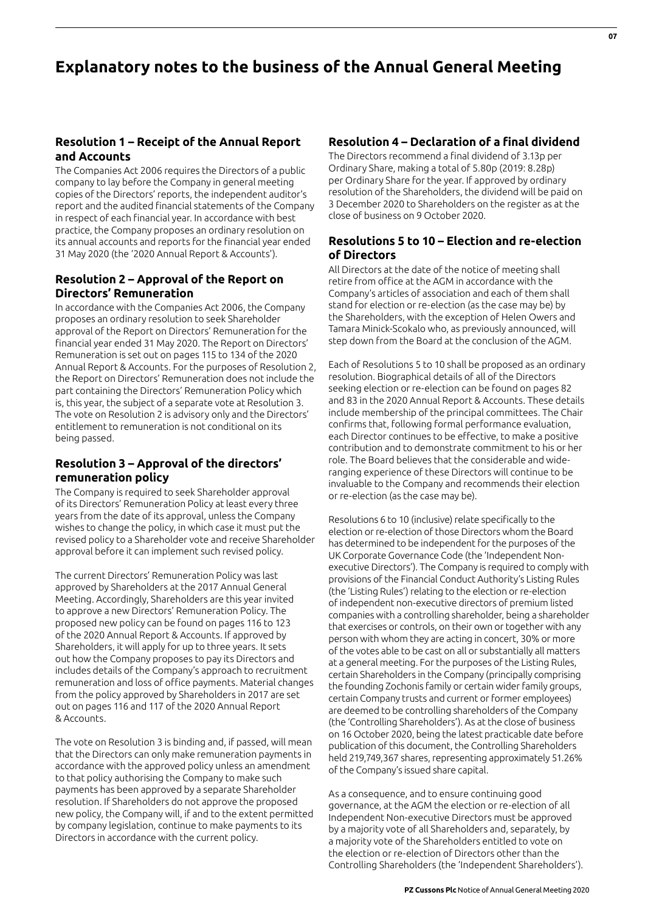# **Explanatory notes to the business of the Annual General Meeting**

## **Resolution 1 – Receipt of the Annual Report and Accounts**

The Companies Act 2006 requires the Directors of a public company to lay before the Company in general meeting copies of the Directors' reports, the independent auditor's report and the audited financial statements of the Company in respect of each financial year. In accordance with best practice, the Company proposes an ordinary resolution on its annual accounts and reports for the financial year ended 31 May 2020 (the '2020 Annual Report & Accounts').

## **Resolution 2 – Approval of the Report on Directors' Remuneration**

In accordance with the Companies Act 2006, the Company proposes an ordinary resolution to seek Shareholder approval of the Report on Directors' Remuneration for the financial year ended 31 May 2020. The Report on Directors' Remuneration is set out on pages 115 to 134 of the 2020 Annual Report & Accounts. For the purposes of Resolution 2, the Report on Directors' Remuneration does not include the part containing the Directors' Remuneration Policy which is, this year, the subject of a separate vote at Resolution 3. The vote on Resolution 2 is advisory only and the Directors' entitlement to remuneration is not conditional on its being passed.

## **Resolution 3 – Approval of the directors' remuneration policy**

The Company is required to seek Shareholder approval of its Directors' Remuneration Policy at least every three years from the date of its approval, unless the Company wishes to change the policy, in which case it must put the revised policy to a Shareholder vote and receive Shareholder approval before it can implement such revised policy.

The current Directors' Remuneration Policy was last approved by Shareholders at the 2017 Annual General Meeting. Accordingly, Shareholders are this year invited to approve a new Directors' Remuneration Policy. The proposed new policy can be found on pages 116 to 123 of the 2020 Annual Report & Accounts. If approved by Shareholders, it will apply for up to three years. It sets out how the Company proposes to pay its Directors and includes details of the Company's approach to recruitment remuneration and loss of office payments. Material changes from the policy approved by Shareholders in 2017 are set out on pages 116 and 117 of the 2020 Annual Report & Accounts.

The vote on Resolution 3 is binding and, if passed, will mean that the Directors can only make remuneration payments in accordance with the approved policy unless an amendment to that policy authorising the Company to make such payments has been approved by a separate Shareholder resolution. If Shareholders do not approve the proposed new policy, the Company will, if and to the extent permitted by company legislation, continue to make payments to its Directors in accordance with the current policy.

## **Resolution 4 – Declaration of a final dividend**

The Directors recommend a final dividend of 3.13p per Ordinary Share, making a total of 5.80p (2019: 8.28p) per Ordinary Share for the year. If approved by ordinary resolution of the Shareholders, the dividend will be paid on 3 December 2020 to Shareholders on the register as at the close of business on 9 October 2020.

## **Resolutions 5 to 10 – Election and re-election of Directors**

All Directors at the date of the notice of meeting shall retire from office at the AGM in accordance with the Company's articles of association and each of them shall stand for election or re-election (as the case may be) by the Shareholders, with the exception of Helen Owers and Tamara Minick-Scokalo who, as previously announced, will step down from the Board at the conclusion of the AGM.

Each of Resolutions 5 to 10 shall be proposed as an ordinary resolution. Biographical details of all of the Directors seeking election or re-election can be found on pages 82 and 83 in the 2020 Annual Report & Accounts. These details include membership of the principal committees. The Chair confirms that, following formal performance evaluation, each Director continues to be effective, to make a positive contribution and to demonstrate commitment to his or her role. The Board believes that the considerable and wideranging experience of these Directors will continue to be invaluable to the Company and recommends their election or re-election (as the case may be).

Resolutions 6 to 10 (inclusive) relate specifically to the election or re-election of those Directors whom the Board has determined to be independent for the purposes of the UK Corporate Governance Code (the 'Independent Nonexecutive Directors'). The Company is required to comply with provisions of the Financial Conduct Authority's Listing Rules (the 'Listing Rules') relating to the election or re-election of independent non-executive directors of premium listed companies with a controlling shareholder, being a shareholder that exercises or controls, on their own or together with any person with whom they are acting in concert, 30% or more of the votes able to be cast on all or substantially all matters at a general meeting. For the purposes of the Listing Rules, certain Shareholders in the Company (principally comprising the founding Zochonis family or certain wider family groups, certain Company trusts and current or former employees) are deemed to be controlling shareholders of the Company (the 'Controlling Shareholders'). As at the close of business on 16 October 2020, being the latest practicable date before publication of this document, the Controlling Shareholders held 219,749,367 shares, representing approximately 51.26% of the Company's issued share capital.

As a consequence, and to ensure continuing good governance, at the AGM the election or re-election of all Independent Non-executive Directors must be approved by a majority vote of all Shareholders and, separately, by a majority vote of the Shareholders entitled to vote on the election or re-election of Directors other than the Controlling Shareholders (the 'Independent Shareholders').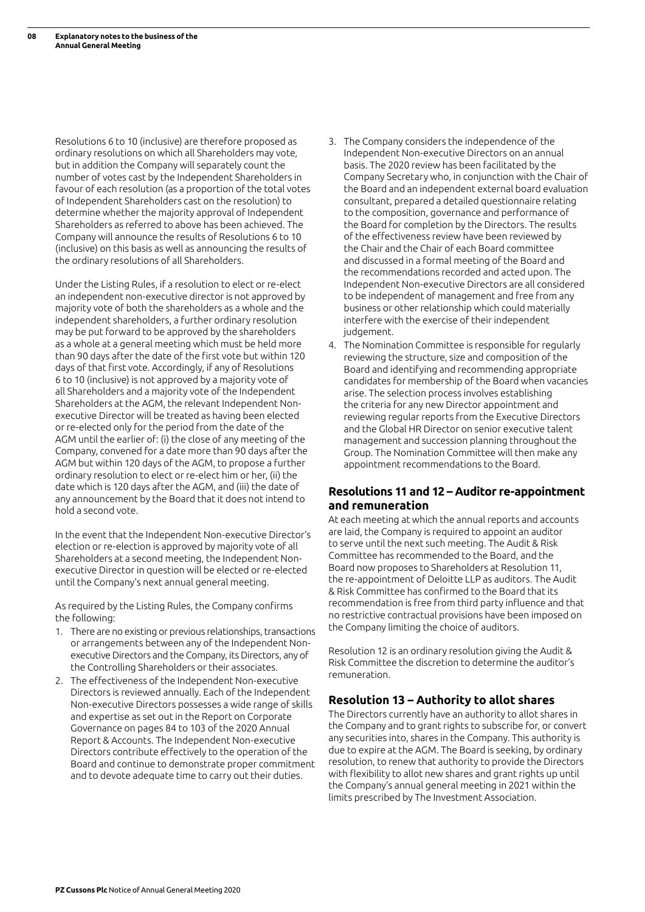Resolutions 6 to 10 (inclusive) are therefore proposed as ordinary resolutions on which all Shareholders may vote, but in addition the Company will separately count the number of votes cast by the Independent Shareholders in favour of each resolution (as a proportion of the total votes of Independent Shareholders cast on the resolution) to determine whether the majority approval of Independent Shareholders as referred to above has been achieved. The Company will announce the results of Resolutions 6 to 10 (inclusive) on this basis as well as announcing the results of the ordinary resolutions of all Shareholders.

Under the Listing Rules, if a resolution to elect or re-elect an independent non-executive director is not approved by majority vote of both the shareholders as a whole and the independent shareholders, a further ordinary resolution may be put forward to be approved by the shareholders as a whole at a general meeting which must be held more than 90 days after the date of the first vote but within 120 days of that first vote. Accordingly, if any of Resolutions 6 to 10 (inclusive) is not approved by a majority vote of all Shareholders and a majority vote of the Independent Shareholders at the AGM, the relevant Independent Nonexecutive Director will be treated as having been elected or re-elected only for the period from the date of the AGM until the earlier of: (i) the close of any meeting of the Company, convened for a date more than 90 days after the AGM but within 120 days of the AGM, to propose a further ordinary resolution to elect or re-elect him or her, (ii) the date which is 120 days after the AGM, and (iii) the date of any announcement by the Board that it does not intend to hold a second vote.

In the event that the Independent Non-executive Director's election or re-election is approved by majority vote of all Shareholders at a second meeting, the Independent Nonexecutive Director in question will be elected or re-elected until the Company's next annual general meeting.

As required by the Listing Rules, the Company confirms the following:

- 1. There are no existing or previous relationships, transactions or arrangements between any of the Independent Nonexecutive Directors and the Company, its Directors, any of the Controlling Shareholders or their associates.
- 2. The effectiveness of the Independent Non-executive Directors is reviewed annually. Each of the Independent Non-executive Directors possesses a wide range of skills and expertise as set out in the Report on Corporate Governance on pages 84 to 103 of the 2020 Annual Report & Accounts. The Independent Non-executive Directors contribute effectively to the operation of the Board and continue to demonstrate proper commitment and to devote adequate time to carry out their duties.
- 3. The Company considers the independence of the Independent Non-executive Directors on an annual basis. The 2020 review has been facilitated by the Company Secretary who, in conjunction with the Chair of the Board and an independent external board evaluation consultant, prepared a detailed questionnaire relating to the composition, governance and performance of the Board for completion by the Directors. The results of the effectiveness review have been reviewed by the Chair and the Chair of each Board committee and discussed in a formal meeting of the Board and the recommendations recorded and acted upon. The Independent Non-executive Directors are all considered to be independent of management and free from any business or other relationship which could materially interfere with the exercise of their independent judgement.
- 4. The Nomination Committee is responsible for regularly reviewing the structure, size and composition of the Board and identifying and recommending appropriate candidates for membership of the Board when vacancies arise. The selection process involves establishing the criteria for any new Director appointment and reviewing regular reports from the Executive Directors and the Global HR Director on senior executive talent management and succession planning throughout the Group. The Nomination Committee will then make any appointment recommendations to the Board.

## **Resolutions 11 and 12 – Auditor re-appointment and remuneration**

At each meeting at which the annual reports and accounts are laid, the Company is required to appoint an auditor to serve until the next such meeting. The Audit & Risk Committee has recommended to the Board, and the Board now proposes to Shareholders at Resolution 11, the re-appointment of Deloitte LLP as auditors. The Audit & Risk Committee has confirmed to the Board that its recommendation is free from third party influence and that no restrictive contractual provisions have been imposed on the Company limiting the choice of auditors.

Resolution 12 is an ordinary resolution giving the Audit & Risk Committee the discretion to determine the auditor's remuneration.

#### **Resolution 13 – Authority to allot shares**

The Directors currently have an authority to allot shares in the Company and to grant rights to subscribe for, or convert any securities into, shares in the Company. This authority is due to expire at the AGM. The Board is seeking, by ordinary resolution, to renew that authority to provide the Directors with flexibility to allot new shares and grant rights up until the Company's annual general meeting in 2021 within the limits prescribed by The Investment Association.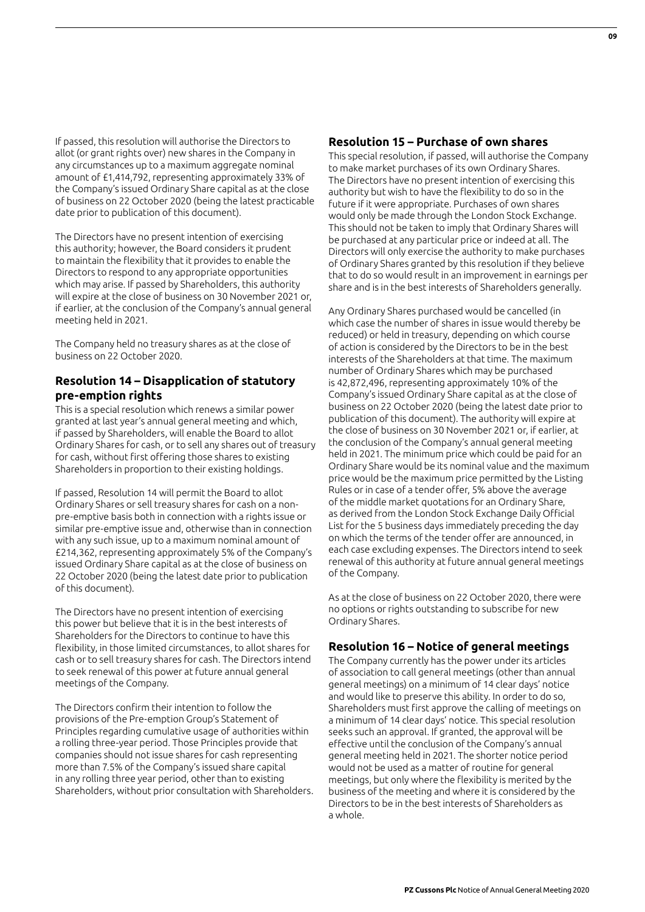If passed, this resolution will authorise the Directors to allot (or grant rights over) new shares in the Company in any circumstances up to a maximum aggregate nominal amount of £1,414,792, representing approximately 33% of the Company's issued Ordinary Share capital as at the close of business on 22 October 2020 (being the latest practicable date prior to publication of this document).

The Directors have no present intention of exercising this authority; however, the Board considers it prudent to maintain the flexibility that it provides to enable the Directors to respond to any appropriate opportunities which may arise. If passed by Shareholders, this authority will expire at the close of business on 30 November 2021 or, if earlier, at the conclusion of the Company's annual general meeting held in 2021.

The Company held no treasury shares as at the close of business on 22 October 2020.

## **Resolution 14 – Disapplication of statutory pre-emption rights**

This is a special resolution which renews a similar power granted at last year's annual general meeting and which, if passed by Shareholders, will enable the Board to allot Ordinary Shares for cash, or to sell any shares out of treasury for cash, without first offering those shares to existing Shareholders in proportion to their existing holdings.

If passed, Resolution 14 will permit the Board to allot Ordinary Shares or sell treasury shares for cash on a nonpre-emptive basis both in connection with a rights issue or similar pre-emptive issue and, otherwise than in connection with any such issue, up to a maximum nominal amount of £214,362, representing approximately 5% of the Company's issued Ordinary Share capital as at the close of business on 22 October 2020 (being the latest date prior to publication of this document).

The Directors have no present intention of exercising this power but believe that it is in the best interests of Shareholders for the Directors to continue to have this flexibility, in those limited circumstances, to allot shares for cash or to sell treasury shares for cash. The Directors intend to seek renewal of this power at future annual general meetings of the Company.

The Directors confirm their intention to follow the provisions of the Pre-emption Group's Statement of Principles regarding cumulative usage of authorities within a rolling three-year period. Those Principles provide that companies should not issue shares for cash representing more than 7.5% of the Company's issued share capital in any rolling three year period, other than to existing Shareholders, without prior consultation with Shareholders.

## **Resolution 15 – Purchase of own shares**

This special resolution, if passed, will authorise the Company to make market purchases of its own Ordinary Shares. The Directors have no present intention of exercising this authority but wish to have the flexibility to do so in the future if it were appropriate. Purchases of own shares would only be made through the London Stock Exchange. This should not be taken to imply that Ordinary Shares will be purchased at any particular price or indeed at all. The Directors will only exercise the authority to make purchases of Ordinary Shares granted by this resolution if they believe that to do so would result in an improvement in earnings per share and is in the best interests of Shareholders generally.

Any Ordinary Shares purchased would be cancelled (in which case the number of shares in issue would thereby be reduced) or held in treasury, depending on which course of action is considered by the Directors to be in the best interests of the Shareholders at that time. The maximum number of Ordinary Shares which may be purchased is 42,872,496, representing approximately 10% of the Company's issued Ordinary Share capital as at the close of business on 22 October 2020 (being the latest date prior to publication of this document). The authority will expire at the close of business on 30 November 2021 or, if earlier, at the conclusion of the Company's annual general meeting held in 2021. The minimum price which could be paid for an Ordinary Share would be its nominal value and the maximum price would be the maximum price permitted by the Listing Rules or in case of a tender offer, 5% above the average of the middle market quotations for an Ordinary Share, as derived from the London Stock Exchange Daily Official List for the 5 business days immediately preceding the day on which the terms of the tender offer are announced, in each case excluding expenses. The Directors intend to seek renewal of this authority at future annual general meetings of the Company.

As at the close of business on 22 October 2020, there were no options or rights outstanding to subscribe for new Ordinary Shares.

## **Resolution 16 – Notice of general meetings**

The Company currently has the power under its articles of association to call general meetings (other than annual general meetings) on a minimum of 14 clear days' notice and would like to preserve this ability. In order to do so, Shareholders must first approve the calling of meetings on a minimum of 14 clear days' notice. This special resolution seeks such an approval. If granted, the approval will be effective until the conclusion of the Company's annual general meeting held in 2021. The shorter notice period would not be used as a matter of routine for general meetings, but only where the flexibility is merited by the business of the meeting and where it is considered by the Directors to be in the best interests of Shareholders as a whole.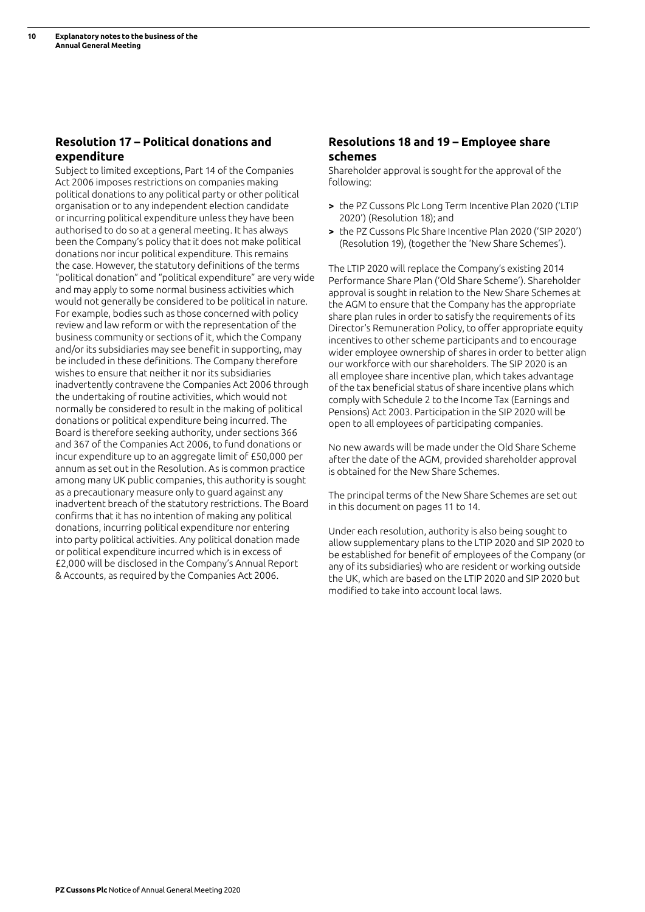# **Resolution 17 – Political donations and expenditure**

Subject to limited exceptions, Part 14 of the Companies Act 2006 imposes restrictions on companies making political donations to any political party or other political organisation or to any independent election candidate or incurring political expenditure unless they have been authorised to do so at a general meeting. It has always been the Company's policy that it does not make political donations nor incur political expenditure. This remains the case. However, the statutory definitions of the terms "political donation" and "political expenditure" are very wide and may apply to some normal business activities which would not generally be considered to be political in nature. For example, bodies such as those concerned with policy review and law reform or with the representation of the business community or sections of it, which the Company and/or its subsidiaries may see benefit in supporting, may be included in these definitions. The Company therefore wishes to ensure that neither it nor its subsidiaries inadvertently contravene the Companies Act 2006 through the undertaking of routine activities, which would not normally be considered to result in the making of political donations or political expenditure being incurred. The Board is therefore seeking authority, under sections 366 and 367 of the Companies Act 2006, to fund donations or incur expenditure up to an aggregate limit of £50,000 per annum as set out in the Resolution. As is common practice among many UK public companies, this authority is sought as a precautionary measure only to guard against any inadvertent breach of the statutory restrictions. The Board confirms that it has no intention of making any political donations, incurring political expenditure nor entering into party political activities. Any political donation made or political expenditure incurred which is in excess of £2,000 will be disclosed in the Company's Annual Report & Accounts, as required by the Companies Act 2006.

## **Resolutions 18 and 19 – Employee share schemes**

Shareholder approval is sought for the approval of the following:

- **>** the PZ Cussons Plc Long Term Incentive Plan 2020 ('LTIP 2020') (Resolution 18); and
- **>** the PZ Cussons Plc Share Incentive Plan 2020 ('SIP 2020') (Resolution 19), (together the 'New Share Schemes').

The LTIP 2020 will replace the Company's existing 2014 Performance Share Plan ('Old Share Scheme'). Shareholder approval is sought in relation to the New Share Schemes at the AGM to ensure that the Company has the appropriate share plan rules in order to satisfy the requirements of its Director's Remuneration Policy, to offer appropriate equity incentives to other scheme participants and to encourage wider employee ownership of shares in order to better align our workforce with our shareholders. The SIP 2020 is an all employee share incentive plan, which takes advantage of the tax beneficial status of share incentive plans which comply with Schedule 2 to the Income Tax (Earnings and Pensions) Act 2003. Participation in the SIP 2020 will be open to all employees of participating companies.

No new awards will be made under the Old Share Scheme after the date of the AGM, provided shareholder approval is obtained for the New Share Schemes.

The principal terms of the New Share Schemes are set out in this document on pages 11 to 14.

Under each resolution, authority is also being sought to allow supplementary plans to the LTIP 2020 and SIP 2020 to be established for benefit of employees of the Company (or any of its subsidiaries) who are resident or working outside the UK, which are based on the LTIP 2020 and SIP 2020 but modified to take into account local laws.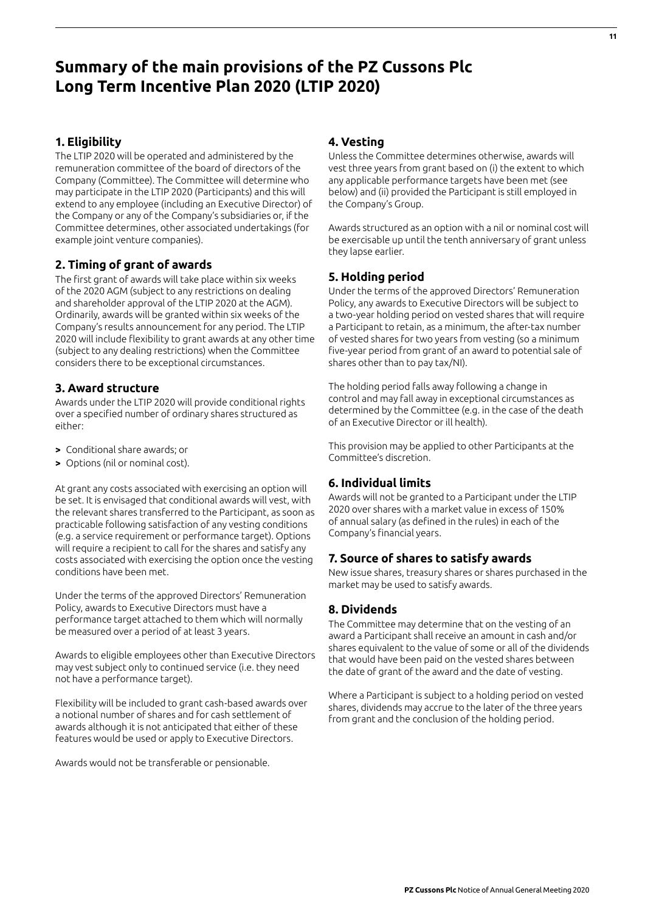# **Summary of the main provisions of the PZ Cussons Plc Long Term Incentive Plan 2020 (LTIP 2020)**

## **1. Eligibility**

The LTIP 2020 will be operated and administered by the remuneration committee of the board of directors of the Company (Committee). The Committee will determine who may participate in the LTIP 2020 (Participants) and this will extend to any employee (including an Executive Director) of the Company or any of the Company's subsidiaries or, if the Committee determines, other associated undertakings (for example joint venture companies).

## **2. Timing of grant of awards**

The first grant of awards will take place within six weeks of the 2020 AGM (subject to any restrictions on dealing and shareholder approval of the LTIP 2020 at the AGM). Ordinarily, awards will be granted within six weeks of the Company's results announcement for any period. The LTIP 2020 will include flexibility to grant awards at any other time (subject to any dealing restrictions) when the Committee considers there to be exceptional circumstances.

## **3. Award structure**

Awards under the LTIP 2020 will provide conditional rights over a specified number of ordinary shares structured as either:

- **>** Conditional share awards; or
- **>** Options (nil or nominal cost).

At grant any costs associated with exercising an option will be set. It is envisaged that conditional awards will vest, with the relevant shares transferred to the Participant, as soon as practicable following satisfaction of any vesting conditions (e.g. a service requirement or performance target). Options will require a recipient to call for the shares and satisfy any costs associated with exercising the option once the vesting conditions have been met.

Under the terms of the approved Directors' Remuneration Policy, awards to Executive Directors must have a performance target attached to them which will normally be measured over a period of at least 3 years.

Awards to eligible employees other than Executive Directors may vest subject only to continued service (i.e. they need not have a performance target).

Flexibility will be included to grant cash-based awards over a notional number of shares and for cash settlement of awards although it is not anticipated that either of these features would be used or apply to Executive Directors.

Awards would not be transferable or pensionable.

## **4. Vesting**

Unless the Committee determines otherwise, awards will vest three years from grant based on (i) the extent to which any applicable performance targets have been met (see below) and (ii) provided the Participant is still employed in the Company's Group.

Awards structured as an option with a nil or nominal cost will be exercisable up until the tenth anniversary of grant unless they lapse earlier.

## **5. Holding period**

Under the terms of the approved Directors' Remuneration Policy, any awards to Executive Directors will be subject to a two-year holding period on vested shares that will require a Participant to retain, as a minimum, the after-tax number of vested shares for two years from vesting (so a minimum five-year period from grant of an award to potential sale of shares other than to pay tax/NI).

The holding period falls away following a change in control and may fall away in exceptional circumstances as determined by the Committee (e.g. in the case of the death of an Executive Director or ill health).

This provision may be applied to other Participants at the Committee's discretion.

## **6. Individual limits**

Awards will not be granted to a Participant under the LTIP 2020 over shares with a market value in excess of 150% of annual salary (as defined in the rules) in each of the Company's financial years.

#### **7. Source of shares to satisfy awards**

New issue shares, treasury shares or shares purchased in the market may be used to satisfy awards.

#### **8. Dividends**

The Committee may determine that on the vesting of an award a Participant shall receive an amount in cash and/or shares equivalent to the value of some or all of the dividends that would have been paid on the vested shares between the date of grant of the award and the date of vesting.

Where a Participant is subject to a holding period on vested shares, dividends may accrue to the later of the three years from grant and the conclusion of the holding period.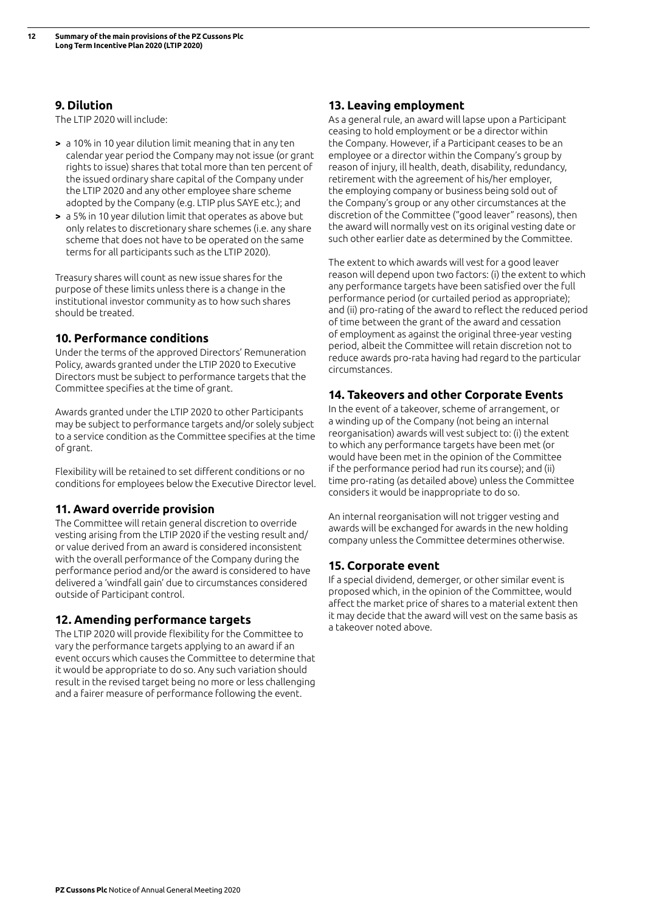## **9. Dilution**

The LTIP 2020 will include:

- **>** a 10% in 10 year dilution limit meaning that in any ten calendar year period the Company may not issue (or grant rights to issue) shares that total more than ten percent of the issued ordinary share capital of the Company under the LTIP 2020 and any other employee share scheme adopted by the Company (e.g. LTIP plus SAYE etc.); and
- **>** a 5% in 10 year dilution limit that operates as above but only relates to discretionary share schemes (i.e. any share scheme that does not have to be operated on the same terms for all participants such as the LTIP 2020).

Treasury shares will count as new issue shares for the purpose of these limits unless there is a change in the institutional investor community as to how such shares should be treated.

## **10. Performance conditions**

Under the terms of the approved Directors' Remuneration Policy, awards granted under the LTIP 2020 to Executive Directors must be subject to performance targets that the Committee specifies at the time of grant.

Awards granted under the LTIP 2020 to other Participants may be subject to performance targets and/or solely subject to a service condition as the Committee specifies at the time of grant.

Flexibility will be retained to set different conditions or no conditions for employees below the Executive Director level.

## **11. Award override provision**

The Committee will retain general discretion to override vesting arising from the LTIP 2020 if the vesting result and/ or value derived from an award is considered inconsistent with the overall performance of the Company during the performance period and/or the award is considered to have delivered a 'windfall gain' due to circumstances considered outside of Participant control.

#### **12. Amending performance targets**

The LTIP 2020 will provide flexibility for the Committee to vary the performance targets applying to an award if an event occurs which causes the Committee to determine that it would be appropriate to do so. Any such variation should result in the revised target being no more or less challenging and a fairer measure of performance following the event.

## **13. Leaving employment**

As a general rule, an award will lapse upon a Participant ceasing to hold employment or be a director within the Company. However, if a Participant ceases to be an employee or a director within the Company's group by reason of injury, ill health, death, disability, redundancy, retirement with the agreement of his/her employer, the employing company or business being sold out of the Company's group or any other circumstances at the discretion of the Committee ("good leaver" reasons), then the award will normally vest on its original vesting date or such other earlier date as determined by the Committee.

The extent to which awards will vest for a good leaver reason will depend upon two factors: (i) the extent to which any performance targets have been satisfied over the full performance period (or curtailed period as appropriate); and (ii) pro-rating of the award to reflect the reduced period of time between the grant of the award and cessation of employment as against the original three-year vesting period, albeit the Committee will retain discretion not to reduce awards pro-rata having had regard to the particular circumstances.

## **14. Takeovers and other Corporate Events**

In the event of a takeover, scheme of arrangement, or a winding up of the Company (not being an internal reorganisation) awards will vest subject to: (i) the extent to which any performance targets have been met (or would have been met in the opinion of the Committee if the performance period had run its course); and (ii) time pro-rating (as detailed above) unless the Committee considers it would be inappropriate to do so.

An internal reorganisation will not trigger vesting and awards will be exchanged for awards in the new holding company unless the Committee determines otherwise.

#### **15. Corporate event**

If a special dividend, demerger, or other similar event is proposed which, in the opinion of the Committee, would affect the market price of shares to a material extent then it may decide that the award will vest on the same basis as a takeover noted above.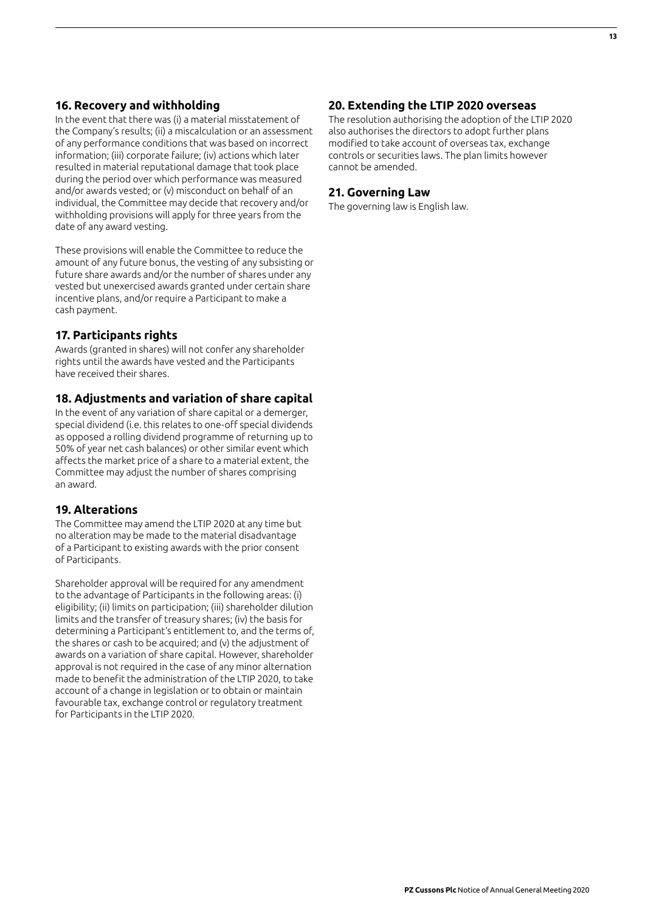## **16. Recovery and withholding**

In the event that there was (i) a material misstatement of the Company's results; (ii) a miscalculation or an assessment of any performance conditions that was based on incorrect information; (iii) corporate failure; (iv) actions which later resulted in material reputational damage that took place during the period over which performance was measured and/or awards vested; or (v) misconduct on behalf of an individual, the Committee may decide that recovery and/or withholding provisions will apply for three years from the date of any award vesting.

These provisions will enable the Committee to reduce the amount of any future bonus, the vesting of any subsisting or future share awards and/or the number of shares under any vested but unexercised awards granted under certain share incentive plans, and/or require a Participant to make a cash payment.

## **17. Participants rights**

Awards (granted in shares) will not confer any shareholder rights until the awards have vested and the Participants have received their shares.

#### **18. Adjustments and variation of share capital**

In the event of any variation of share capital or a demerger, special dividend (i.e. this relates to one-off special dividends as opposed a rolling dividend programme of returning up to 50% of year net cash balances) or other similar event which affects the market price of a share to a material extent, the Committee may adjust the number of shares comprising an award.

#### **19. Alterations**

The Committee may amend the LTIP 2020 at any time but no alteration may be made to the material disadvantage of a Participant to existing awards with the prior consent of Participants.

Shareholder approval will be required for any amendment to the advantage of Participants in the following areas: (i) eligibility; (ii) limits on participation; (iii) shareholder dilution limits and the transfer of treasury shares; (iv) the basis for determining a Participant's entitlement to, and the terms of, the shares or cash to be acquired; and (v) the adjustment of awards on a variation of share capital. However, shareholder approval is not required in the case of any minor alternation made to benefit the administration of the LTIP 2020, to take account of a change in legislation or to obtain or maintain favourable tax, exchange control or regulatory treatment for Participants in the LTIP 2020.

## **20. Extending the LTIP 2020 overseas**

The resolution authorising the adoption of the LTIP 2020 also authorises the directors to adopt further plans modified to take account of overseas tax, exchange controls or securities laws. The plan limits however cannot be amended.

#### **21. Governing Law**

The governing law is English law.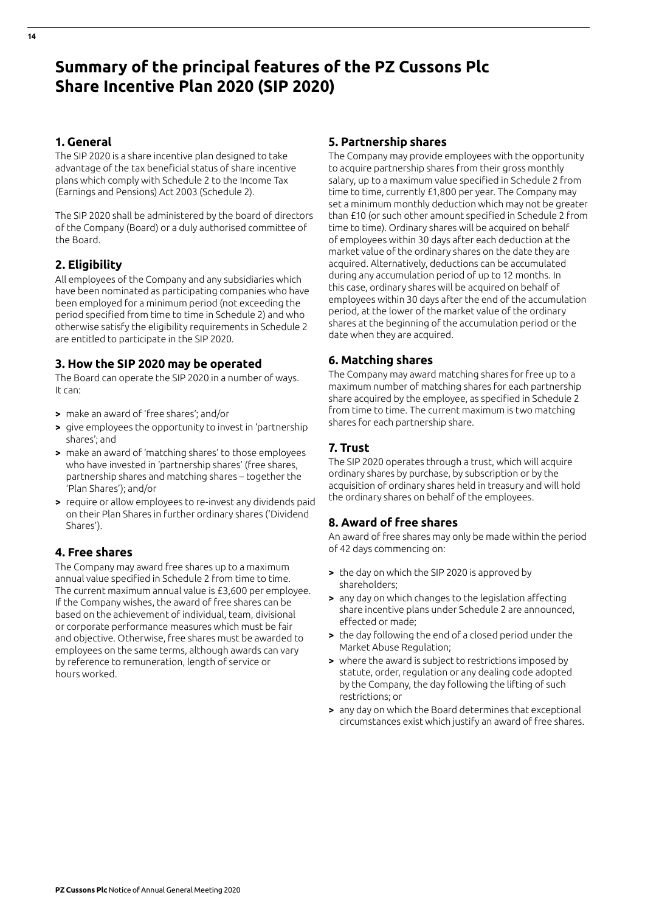# **Summary of the principal features of the PZ Cussons Plc Share Incentive Plan 2020 (SIP 2020)**

## **1. General**

The SIP 2020 is a share incentive plan designed to take advantage of the tax beneficial status of share incentive plans which comply with Schedule 2 to the Income Tax (Earnings and Pensions) Act 2003 (Schedule 2).

The SIP 2020 shall be administered by the board of directors of the Company (Board) or a duly authorised committee of the Board.

# **2. Eligibility**

All employees of the Company and any subsidiaries which have been nominated as participating companies who have been employed for a minimum period (not exceeding the period specified from time to time in Schedule 2) and who otherwise satisfy the eligibility requirements in Schedule 2 are entitled to participate in the SIP 2020.

## **3. How the SIP 2020 may be operated**

The Board can operate the SIP 2020 in a number of ways. It can:

- **>** make an award of 'free shares'; and/or
- **>** give employees the opportunity to invest in 'partnership shares'; and
- **>** make an award of 'matching shares' to those employees who have invested in 'partnership shares' (free shares, partnership shares and matching shares – together the 'Plan Shares'); and/or
- **>** require or allow employees to re-invest any dividends paid on their Plan Shares in further ordinary shares ('Dividend Shares').

# **4. Free shares**

The Company may award free shares up to a maximum annual value specified in Schedule 2 from time to time. The current maximum annual value is £3,600 per employee. If the Company wishes, the award of free shares can be based on the achievement of individual, team, divisional or corporate performance measures which must be fair and objective. Otherwise, free shares must be awarded to employees on the same terms, although awards can vary by reference to remuneration, length of service or hours worked.

## **5. Partnership shares**

The Company may provide employees with the opportunity to acquire partnership shares from their gross monthly salary, up to a maximum value specified in Schedule 2 from time to time, currently £1,800 per year. The Company may set a minimum monthly deduction which may not be greater than £10 (or such other amount specified in Schedule 2 from time to time). Ordinary shares will be acquired on behalf of employees within 30 days after each deduction at the market value of the ordinary shares on the date they are acquired. Alternatively, deductions can be accumulated during any accumulation period of up to 12 months. In this case, ordinary shares will be acquired on behalf of employees within 30 days after the end of the accumulation period, at the lower of the market value of the ordinary shares at the beginning of the accumulation period or the date when they are acquired.

# **6. Matching shares**

The Company may award matching shares for free up to a maximum number of matching shares for each partnership share acquired by the employee, as specified in Schedule 2 from time to time. The current maximum is two matching shares for each partnership share.

# **7. Trust**

The SIP 2020 operates through a trust, which will acquire ordinary shares by purchase, by subscription or by the acquisition of ordinary shares held in treasury and will hold the ordinary shares on behalf of the employees.

# **8. Award of free shares**

An award of free shares may only be made within the period of 42 days commencing on:

- **>** the day on which the SIP 2020 is approved by shareholders;
- **>** any day on which changes to the legislation affecting share incentive plans under Schedule 2 are announced, effected or made;
- **>** the day following the end of a closed period under the Market Abuse Regulation;
- **>** where the award is subject to restrictions imposed by statute, order, regulation or any dealing code adopted by the Company, the day following the lifting of such restrictions; or
- **>** any day on which the Board determines that exceptional circumstances exist which justify an award of free shares.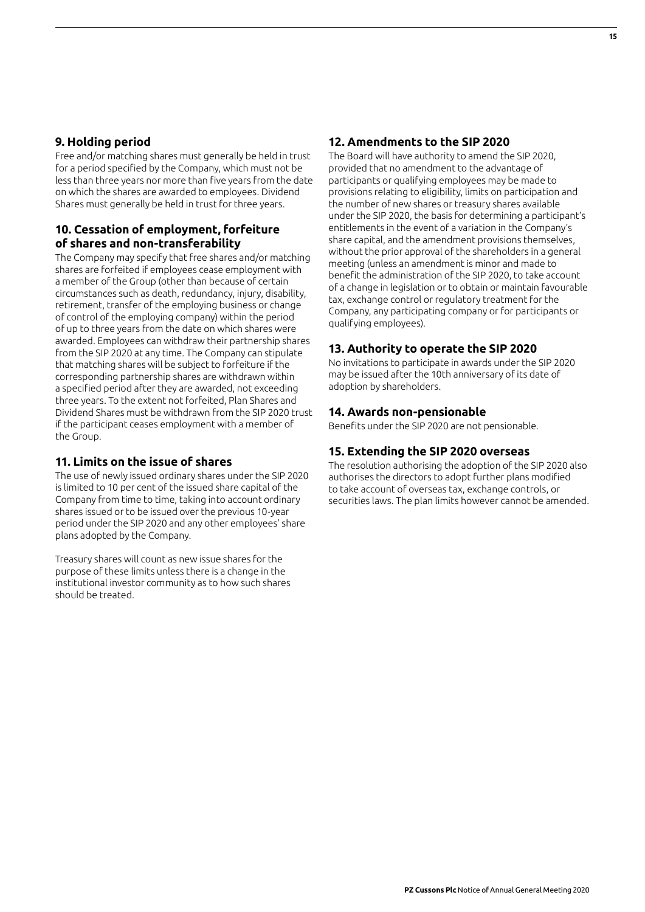## **9. Holding period**

Free and/or matching shares must generally be held in trust for a period specified by the Company, which must not be less than three years nor more than five years from the date on which the shares are awarded to employees. Dividend Shares must generally be held in trust for three years.

## **10. Cessation of employment, forfeiture of shares and non-transferability**

The Company may specify that free shares and/or matching shares are forfeited if employees cease employment with a member of the Group (other than because of certain circumstances such as death, redundancy, injury, disability, retirement, transfer of the employing business or change of control of the employing company) within the period of up to three years from the date on which shares were awarded. Employees can withdraw their partnership shares from the SIP 2020 at any time. The Company can stipulate that matching shares will be subject to forfeiture if the corresponding partnership shares are withdrawn within a specified period after they are awarded, not exceeding three years. To the extent not forfeited, Plan Shares and Dividend Shares must be withdrawn from the SIP 2020 trust if the participant ceases employment with a member of the Group.

## **11. Limits on the issue of shares**

The use of newly issued ordinary shares under the SIP 2020 is limited to 10 per cent of the issued share capital of the Company from time to time, taking into account ordinary shares issued or to be issued over the previous 10-year period under the SIP 2020 and any other employees' share plans adopted by the Company.

Treasury shares will count as new issue shares for the purpose of these limits unless there is a change in the institutional investor community as to how such shares should be treated.

## **12. Amendments to the SIP 2020**

The Board will have authority to amend the SIP 2020, provided that no amendment to the advantage of participants or qualifying employees may be made to provisions relating to eligibility, limits on participation and the number of new shares or treasury shares available under the SIP 2020, the basis for determining a participant's entitlements in the event of a variation in the Company's share capital, and the amendment provisions themselves, without the prior approval of the shareholders in a general meeting (unless an amendment is minor and made to benefit the administration of the SIP 2020, to take account of a change in legislation or to obtain or maintain favourable tax, exchange control or regulatory treatment for the Company, any participating company or for participants or qualifying employees).

## **13. Authority to operate the SIP 2020**

No invitations to participate in awards under the SIP 2020 may be issued after the 10th anniversary of its date of adoption by shareholders.

#### **14. Awards non-pensionable**

Benefits under the SIP 2020 are not pensionable.

## **15. Extending the SIP 2020 overseas**

The resolution authorising the adoption of the SIP 2020 also authorises the directors to adopt further plans modified to take account of overseas tax, exchange controls, or securities laws. The plan limits however cannot be amended.